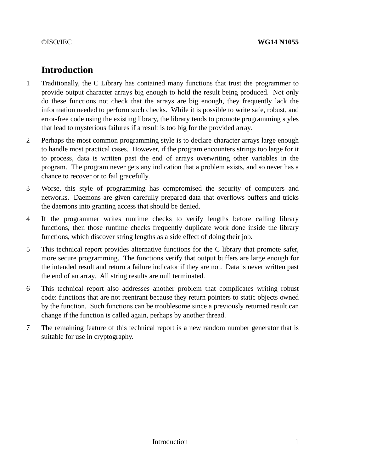# **Introduction**

- 1 Traditionally, the C Library has contained many functions that trust the programmer to provide output character arrays big enough to hold the result being produced. Not only do these functions not check that the arrays are big enough, they frequently lack the information needed to perform such checks. While it is possible to write safe, robust, and error-free code using the existing library, the library tends to promote programming styles that lead to mysterious failures if a result is too big for the provided array.
- 2 Perhaps the most common programming style is to declare character arrays large enough to handle most practical cases. However, if the program encounters strings too large for it to process, data is written past the end of arrays overwriting other variables in the program. The program never gets any indication that a problem exists, and so never has a chance to recover or to fail gracefully.
- 3 Worse, this style of programming has compromised the security of computers and networks. Daemons are given carefully prepared data that overflows buffers and tricks the daemons into granting access that should be denied.
- 4 If the programmer writes runtime checks to verify lengths before calling library functions, then those runtime checks frequently duplicate work done inside the library functions, which discover string lengths as a side effect of doing their job.
- 5 This technical report provides alternative functions for the C library that promote safer, more secure programming. The functions verify that output buffers are large enough for the intended result and return a failure indicator if they are not. Data is never written past the end of an array. All string results are null terminated.
- 6 This technical report also addresses another problem that complicates writing robust code: functions that are not reentrant because they return pointers to static objects owned by the function. Such functions can be troublesome since a previously returned result can change if the function is called again, perhaps by another thread.
- 7 The remaining feature of this technical report is a new random number generator that is suitable for use in cryptography.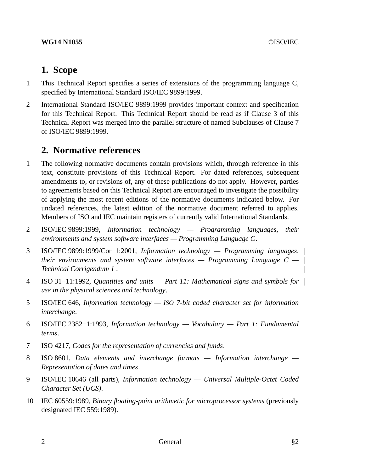### **WG14 N1055** ©ISO/IEC

# **1. Scope**

- 1 This Technical Report specifies a series of extensions of the programming language C, specified by International Standard ISO/IEC 9899:1999.
- 2 International Standard ISO/IEC 9899:1999 provides important context and specification for this Technical Report. This Technical Report should be read as if Clause 3 of this Technical Report was merged into the parallel structure of named Subclauses of Clause 7 of ISO/IEC 9899:1999.

# **2. Normative references**

- 1 The following normative documents contain provisions which, through reference in this text, constitute provisions of this Technical Report. For dated references, subsequent amendments to, or revisions of, any of these publications do not apply. However, parties to agreements based on this Technical Report are encouraged to investigate the possibility of applying the most recent editions of the normative documents indicated below. For undated references, the latest edition of the normative document referred to applies. Members of ISO and IEC maintain registers of currently valid International Standards.
- 2 ISO/IEC 9899:1999, *Information technology Programming languages, their environments and system software interfaces — Programming Language C*.
- 3 ISO/IEC 9899:1999/Cor 1:2001, *Information technology Programming languages, their environments and system software interfaces — Programming Language C — Technical Corrigendum 1* .
- 4 ISO 31−11:1992, *Quantities and units Part 11: Mathematical signs and symbols for use in the physical sciences and technology*.
- 5 ISO/IEC 646, *Information technology — ISO 7-bit coded character set for information interchange*.
- 6 ISO/IEC 2382−1:1993, *Information technology Vocabulary Part 1: Fundamental terms*.
- 7 ISO 4217, *Codes for the representation of currencies and funds*.
- 8 ISO 8601, *Data elements and interchange formats Information interchange — Representation of dates and times*.
- 9 ISO/IEC 10646 (all parts), *Information technology Universal Multiple-Octet Coded Character Set (UCS)*.
- 10 IEC 60559:1989, *Binary floating-point arithmetic for microprocessor systems* (previously designated IEC 559:1989).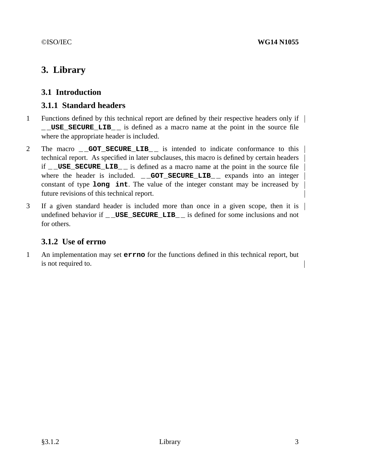# **3. Library**

# **3.1 Introduction**

# **3.1.1 Standard headers**

- 1 Functions defined by this technical report are defined by their respective headers only if **\_ \_USE\_SECURE\_LIB\_ \_** is defined as a macro name at the point in the source file where the appropriate header is included.
- 2 The macro **\_\_GOT\_SECURE\_LIB**\_\_ is intended to indicate conformance to this technical report. As specified in later subclauses, this macro is defined by certain headers if **\_ \_USE\_SECURE\_LIB\_ \_** is defined as a macro name at the point in the source file where the header is included. **\_\_GOT\_SECURE\_LIB\_\_** expands into an integer constant of type **long int**. The value of the integer constant may be increased by future revisions of this technical report.
- 3 If a given standard header is included more than once in a given scope, then it is undefined behavior if **\_ \_USE\_SECURE\_LIB\_ \_** is defined for some inclusions and not for others.

# **3.1.2 Use of errno**

1 An implementation may set **errno** for the functions defined in this technical report, but is not required to.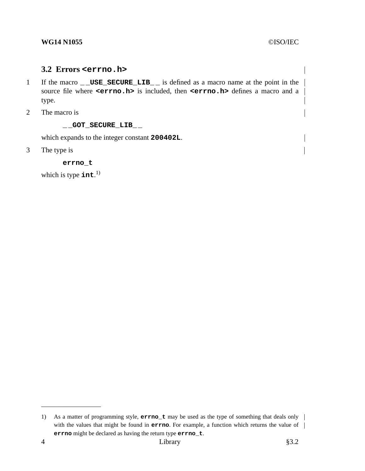# **3.2 Errors <errno.h>**

- 1 If the macro **\_ \_USE\_SECURE\_LIB\_ \_** is defined as a macro name at the point in the source file where **<errno.h>** is included, then **<errno.h>** defines a macro and a type.
- 2 The macro is

#### **\_ \_GOT\_SECURE\_LIB\_ \_**

which expands to the integer constant **200402L**.

3 The type is

**errno\_t**

which is type **int**. 1)

<sup>1)</sup> As a matter of programming style, **errno\_t** may be used as the type of something that deals only with the values that might be found in **errno**. For example, a function which returns the value of | **errno** might be declared as having the return type **errno\_t**.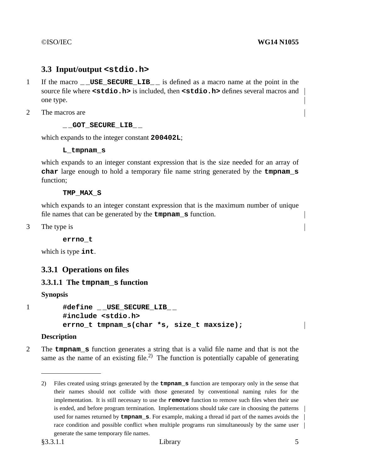# **3.3 Input/output <stdio.h>**

- 1 If the macro **USE SECURE LIB** is defined as a macro name at the point in the source file where **<stdio.h>** is included, then **<stdio.h>** defines several macros and one type.
- 2 The macros are

#### **\_ \_GOT\_SECURE\_LIB\_ \_**

which expands to the integer constant **200402L**;

#### **L\_tmpnam\_s**

which expands to an integer constant expression that is the size needed for an array of **char** large enough to hold a temporary file name string generated by the **tmpnam\_s** function;

#### **TMP\_MAX\_S**

which expands to an integer constant expression that is the maximum number of unique file names that can be generated by the **tmpnam\_s** function.

3 The type is

**errno\_t**

which is type **int**.

# **3.3.1 Operations on files**

#### **3.3.1.1 The tmpnam\_s function**

**Synopsis**

```
1 #define _ _USE_SECURE_LIB_ _
        #include <stdio.h>
        errno_t tmpnam_s(char *s, size_t maxsize);
```
#### **Description**

2 The **tmpnam\_s** function generates a string that is a valid file name and that is not the same as the name of an existing file.<sup>2)</sup> The function is potentially capable of generating

<sup>2)</sup> Files created using strings generated by the **tmpnam\_s** function are temporary only in the sense that their names should not collide with those generated by conventional naming rules for the implementation. It is still necessary to use the **remove** function to remove such files when their use is ended, and before program termination. Implementations should take care in choosing the patterns used for names returned by **tmpnam\_s**. For example, making a thread id part of the names avoids the race condition and possible conflict when multiple programs run simultaneously by the same user generate the same temporary file names.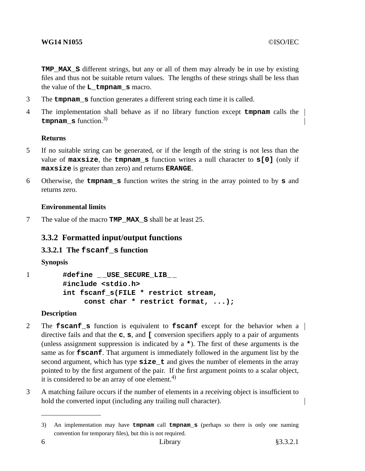# **WG14 N1055** ©ISO/IEC

**TMP MAX** S different strings, but any or all of them may already be in use by existing files and thus not be suitable return values. The lengths of these strings shall be less than the value of the **L\_tmpnam\_s** macro.

- 3 The **tmpnam\_s** function generates a different string each time it is called.
- 4 The implementation shall behave as if no library function except **tmpnam** calls the **tmpnam\_s** function.3)

## **Returns**

- 5 If no suitable string can be generated, or if the length of the string is not less than the value of **maxsize**, the **tmpnam\_s** function writes a null character to **s[0]** (only if **maxsize** is greater than zero) and returns **ERANGE**.
- 6 Otherwise, the **tmpnam\_s** function writes the string in the array pointed to by **s** and returns zero.

# **Environmental limits**

7 The value of the macro **TMP\_MAX\_S** shall be at least 25.

# **3.3.2 Formatted input/output functions**

# **3.3.2.1 The fscanf\_s function**

**Synopsis**

1 **#define \_ \_USE\_SECURE\_LIB\_ \_ #include <stdio.h> int fscanf\_s(FILE \* restrict stream, const char \* restrict format, ...);**

# **Description**

- 2 The **fscanf\_s** function is equivalent to **fscanf** except for the behavior when a directive fails and that the **c**, **s**, and **[** conversion specifiers apply to a pair of arguments (unless assignment suppression is indicated by a **\***). The first of these arguments is the same as for **fscanf**. That argument is immediately followed in the argument list by the second argument, which has type **size\_t** and gives the number of elements in the array pointed to by the first argument of the pair. If the first argument points to a scalar object, it is considered to be an array of one element.<sup>4)</sup>
- 3 A matching failure occurs if the number of elements in a receiving object is insufficient to hold the converted input (including any trailing null character).

<sup>3)</sup> An implementation may have **tmpnam** call **tmpnam\_s** (perhaps so there is only one naming convention for temporary files), but this is not required.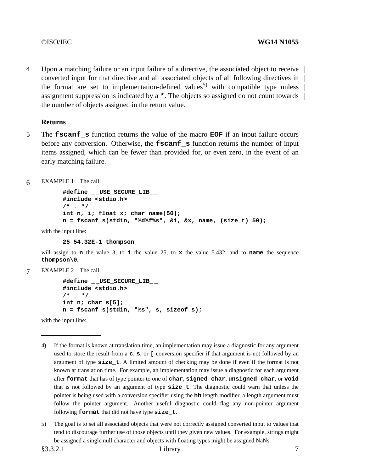4 Upon a matching failure or an input failure of a directive, the associated object to receive converted input for that directive and all associated objects of all following directives in the format are set to implementation-defined values<sup>5)</sup> with compatible type unless assignment suppression is indicated by a **\***. The objects so assigned do not count towards the number of objects assigned in the return value.

#### **Returns**

- 5 The **fscanf\_s** function returns the value of the macro **EOF** if an input failure occurs before any conversion. Otherwise, the **fscanf\_s** function returns the number of input items assigned, which can be fewer than provided for, or even zero, in the event of an early matching failure.
- 6 EXAMPLE 1 The call:

```
#define _ _USE_SECURE_LIB_ _
#include <stdio.h>
/* ... */
int n, i; float x; char name[50];
n=fscanf_s(stdin, "%d%f%s", &i, &x, name, (size_t) 50);
```
with the input line:

**25 54.32E-1 thompson**

will assign to **n** the value 3, to **i** the value 25, to **x** the value 5.432, and to **name** the sequence **thompson\0**.

7 EXAMPLE 2 The call:

```
#define _ _USE_SECURE_LIB_ _
#include <stdio.h>
/* ... */
int n; char s[5];
n=fscanf_s(stdin, "%s", s, sizeof s);
```
with the input line:

- 4) If the format is known at translation time, an implementation may issue a diagnostic for any argument used to store the result from a **c**, **s**, or **[** conversion specifier if that argument is not followed by an argument of type **size\_t**.Alimited amount of checking may be done if even if the format is not known at translation time. For example, an implementation may issue a diagnostic for each argument after **format** that has of type pointer to one of **char**, **signed char**, **unsigned char**, or **void** that is not followed by an argument of type **size\_t**. The diagnostic could warn that unless the pointer is being used with a conversion specifier using the **hh** length modifier, a length argument must follow the pointer argument. Another useful diagnostic could flag any non-pointer argument following **format** that did not have type **size\_t**.
- 5) The goal is to set all associated objects that were not correctly assigned converted input to values that tend to discourage further use of those objects until they given new values. For example, strings might be assigned a single null character and objects with floating types might be assigned NaNs.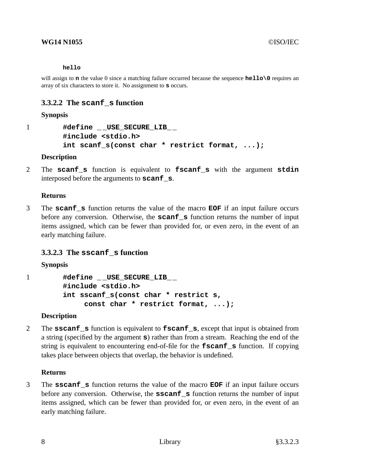#### **hello**

will assign to **n** the value 0 since a matching failure occurred because the sequence **hello**\0 requires an array of six characters to store it. No assignment to **s** occurs.

# **3.3.2.2 The scanf\_s function**

#### **Synopsis**

```
1 #define _ _USE_SECURE_LIB_ _
        #include <stdio.h>
        int scanf_s(const char * restrict format, ...);
```
#### **Description**

2 The **scanf\_s** function is equivalent to **fscanf\_s** with the argument **stdin** interposed before the arguments to **scanf\_s**.

#### **Returns**

3 The **scanf\_s** function returns the value of the macro **EOF** if an input failure occurs before any conversion. Otherwise, the **scanf\_s** function returns the number of input items assigned, which can be fewer than provided for, or even zero, in the event of an early matching failure.

# **3.3.2.3 The sscanf\_s function**

#### **Synopsis**

1 **#define \_ \_USE\_SECURE\_LIB\_ \_ #include <stdio.h> int sscanf\_s(const char \* restrict s, const char \* restrict format, ...);**

#### **Description**

2 The **sscanf\_s** function is equivalent to **fscanf\_s**, except that input is obtained from a string (specified by the argument **s**) rather than from a stream. Reaching the end of the string is equivalent to encountering end-of-file for the **fscanf\_s** function. If copying takes place between objects that overlap, the behavior is undefined.

#### **Returns**

3 The **sscanf\_s** function returns the value of the macro **EOF** if an input failure occurs before any conversion. Otherwise, the **sscanf** s function returns the number of input items assigned, which can be fewer than provided for, or even zero, in the event of an early matching failure.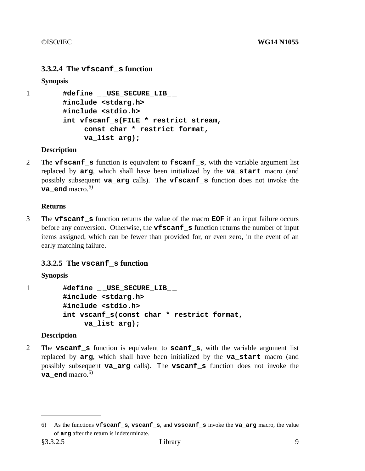# **3.3.2.4 The vfscanf\_s function**

**Synopsis**

```
1 #define _ _USE_SECURE_LIB_ _
        #include <stdarg.h>
        #include <stdio.h>
        int vfscanf_s(FILE * restrict stream,
             const char * restrict format,
             va_list arg);
```
## **Description**

2 The **vfscanf\_s** function is equivalent to **fscanf\_s**, with the variable argument list replaced by **arg**, which shall have been initialized by the **va\_start** macro (and possibly subsequent **va\_arg** calls). The **vfscanf\_s** function does not invoke the **va\_end** macro. $^{6)}$ 

## **Returns**

3 The **vfscanf\_s** function returns the value of the macro **EOF** if an input failure occurs before any conversion. Otherwise, the **vfscanf\_s** function returns the number of input items assigned, which can be fewer than provided for, or even zero, in the event of an early matching failure.

# **3.3.2.5 The vscanf\_s function**

# **Synopsis**

1 **#define \_ \_USE\_SECURE\_LIB\_ \_ #include <stdarg.h> #include <stdio.h> int vscanf\_s(const char \* restrict format, va\_list arg);**

# **Description**

2 The **vscanf\_s** function is equivalent to **scanf\_s**, with the variable argument list replaced by **arg**, which shall have been initialized by the **va\_start** macro (and possibly subsequent **va\_arg** calls). The **vscanf\_s** function does not invoke the **va** end macro.<sup>6)</sup>

<sup>6)</sup> As the functions **vfscanf\_s**, **vscanf\_s**, and **vsscanf\_s** invoke the **va\_arg** macro, the value of **arg** after the return is indeterminate.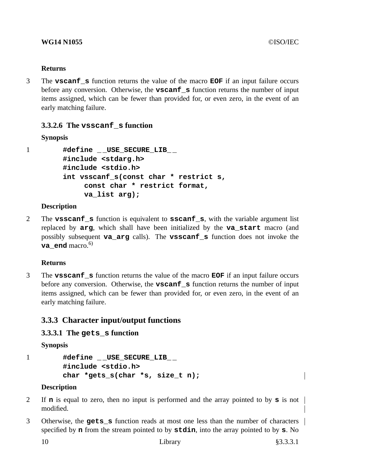## **Returns**

3 The **vscanf\_s** function returns the value of the macro **EOF** if an input failure occurs before any conversion. Otherwise, the **vscanf\_s** function returns the number of input items assigned, which can be fewer than provided for, or even zero, in the event of an early matching failure.

# **3.3.2.6 The vsscanf\_s function**

# **Synopsis**

1 **#define \_ \_USE\_SECURE\_LIB\_ \_ #include <stdarg.h> #include <stdio.h> int vsscanf\_s(const char \* restrict s, const char \* restrict format, va\_list arg);**

## **Description**

2 The **vsscanf\_s** function is equivalent to **sscanf\_s**, with the variable argument list replaced by **arg**, which shall have been initialized by the **va\_start** macro (and possibly subsequent **va\_arg** calls). The **vsscanf\_s** function does not invoke the va end macro.<sup>6)</sup>

# **Returns**

3 The **vsscanf\_s** function returns the value of the macro **EOF** if an input failure occurs before any conversion. Otherwise, the **vscanf\_s** function returns the number of input items assigned, which can be fewer than provided for, or even zero, in the event of an early matching failure.

# **3.3.3 Character input/output functions**

# **3.3.3.1 The gets\_s function**

**Synopsis**

```
1 #define _ _USE_SECURE_LIB_ _
        #include <stdio.h>
        char *gets_s(char *s, size_t n);
```
#### **Description**

- 2 If **n** is equal to zero, then no input is performed and the array pointed to by **s** is not modified.
- 3 Otherwise, the **gets\_s** function reads at most one less than the number of characters specified by **n** from the stream pointed to by **stdin**, into the array pointed to by **s**. No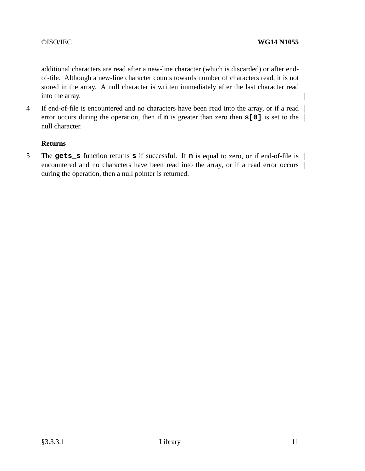additional characters are read after a new-line character (which is discarded) or after endof-file. Although a new-line character counts towards number of characters read, it is not stored in the array. A null character is written immediately after the last character read into the array.

4 If end-of-file is encountered and no characters have been read into the array, or if a read | error occurs during the operation, then if **n** is greater than zero then **s**[0] is set to the  $\vert$ null character.

#### **Returns**

5 The **gets\_s** function returns **s** if successful. If **n** is equal to zero, or if end-of-file is encountered and no characters have been read into the array, or if a read error occurs  $\parallel$ during the operation, then a null pointer is returned.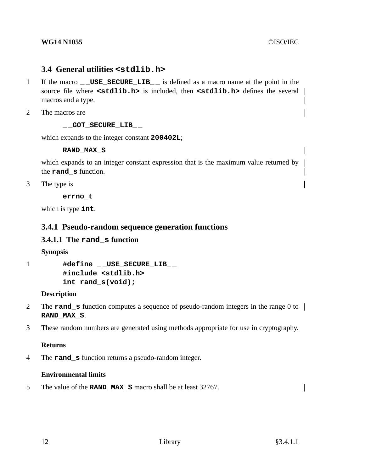#### **WG14 N1055** ©ISO/IEC

# **3.4 General utilities <stdlib.h>**

- 1 If the macro **\_ \_USE\_SECURE\_LIB\_ \_** is defined as a macro name at the point in the source file where **<stdlib.h>** is included, then **<stdlib.h>** defines the several macros and a type.
- 2 The macros are

## **\_ \_GOT\_SECURE\_LIB\_ \_**

which expands to the integer constant **200402L**;

## **RAND\_MAX\_S**

which expands to an integer constant expression that is the maximum value returned by the **rand\_s** function.

3 The type is

**errno\_t**

which is type **int**.

# **3.4.1 Pseudo-random sequence generation functions**

# **3.4.1.1 The rand\_s function**

# **Synopsis**

1 **#define \_ \_USE\_SECURE\_LIB\_ \_ #include <stdlib.h> int rand\_s(void);**

# **Description**

- 2 The **rand\_s** function computes a sequence of pseudo-random integers in the range 0 to **RAND\_MAX\_S**.
- 3 These random numbers are generated using methods appropriate for use in cryptography.

# **Returns**

4 The **rand\_s** function returns a pseudo-random integer.

# **Environmental limits**

5 The value of the **RAND\_MAX\_S** macro shall be at least 32767.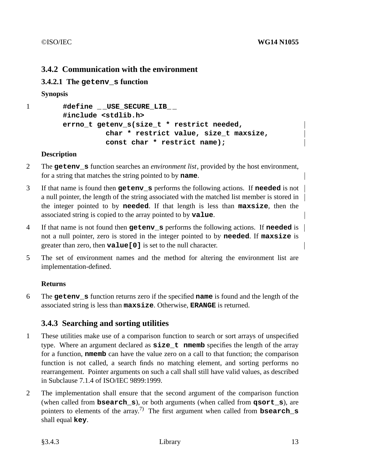# **3.4.2 Communication with the environment**

# **3.4.2.1 The getenv\_s function**

**Synopsis**

```
1 #define _ _USE_SECURE_LIB_ _
        #include <stdlib.h>
        errno_t getenv_s(size_t * restrict needed,
                  char * restrict value, size_t maxsize,
                  const char * restrict name);
```
#### **Description**

- 2 The **getenv\_s** function searches an *environment list*, provided by the host environment, for a string that matches the string pointed to by **name**.
- 3 If that name is found then **getenv\_s** performs the following actions. If **needed** is not a null pointer, the length of the string associated with the matched list member is stored in the integer pointed to by **needed**. If that length is less than **maxsize**, then the associated string is copied to the array pointed to by **value**.
- 4 If that name is not found then **getenv\_s** performs the following actions. If **needed** is not a null pointer, zero is stored in the integer pointed to by **needed**. If **maxsize** is greater than zero, then **value[0]** is set to the null character.
- 5 The set of environment names and the method for altering the environment list are implementation-defined.

# **Returns**

6 The **getenv\_s** function returns zero if the specified **name** is found and the length of the associated string is less than **maxsize**. Otherwise, **ERANGE** is returned.

# **3.4.3 Searching and sorting utilities**

- 1 These utilities make use of a comparison function to search or sort arrays of unspecified type. Where an argument declared as **size** t **nmemb** specifies the length of the array for a function, **nmemb** can have the value zero on a call to that function; the comparison function is not called, a search finds no matching element, and sorting performs no rearrangement. Pointer arguments on such a call shall still have valid values, as described in Subclause 7.1.4 of ISO/IEC 9899:1999.
- 2 The implementation shall ensure that the second argument of the comparison function (when called from **bsearch\_s**), or both arguments (when called from **qsort\_s**), are pointers to elements of the array. 7) The first argument when called from **bsearch\_s** shall equal **key**.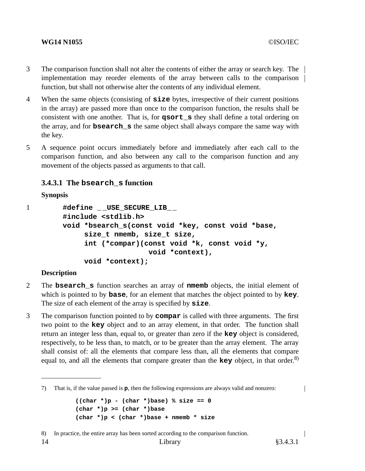#### **WG14 N1055** ©ISO/IEC

- 3 The comparison function shall not alter the contents of either the array or search key. The implementation may reorder elements of the array between calls to the comparison function, but shall not otherwise alter the contents of any individual element.
- 4 When the same objects (consisting of **size** bytes, irrespective of their current positions in the array) are passed more than once to the comparison function, the results shall be consistent with one another. That is, for **qsort\_s** they shall define a total ordering on the array, and for **bsearch\_s** the same object shall always compare the same way with the key.
- 5 A sequence point occurs immediately before and immediately after each call to the comparison function, and also between any call to the comparison function and any movement of the objects passed as arguments to that call.

# **3.4.3.1 The bsearch\_s function**

#### **Synopsis**

```
1 #define _ _USE_SECURE_LIB_ _
        #include <stdlib.h>
        void *bsearch_s(const void *key, const void *base,
             size_t nmemb, size_t size,
             int (*compar)(const void *k, const void *y,
                            void *context),
             void *context);
```
#### **Description**

- 2 The **bsearch\_s** function searches an array of **nmemb** objects, the initial element of which is pointed to by **base**, for an element that matches the object pointed to by **key**. The size of each element of the array is specified by **size**.
- 3 The comparison function pointed to by **compar** is called with three arguments. The first two point to the **key** object and to an array element, in that order. The function shall return an integer less than, equal to, or greater than zero if the **key** object is considered, respectively, to be less than, to match, or to be greater than the array element. The array shall consist of: all the elements that compare less than, all the elements that compare equal to, and all the elements that compare greater than the **key** object, in that order. 8)

 $\overline{\phantom{a}}$ 

<sup>7)</sup> That is, if the value passed is **p**, then the following expressions are always valid and nonzero:

**<sup>((</sup>char \*)p - (char \*)base) % size == 0 (char \*)p >= (char \*)base (char \*)p < (char \*)base + nmemb \* size**

<sup>8)</sup> In practice, the entire array has been sorted according to the comparison function.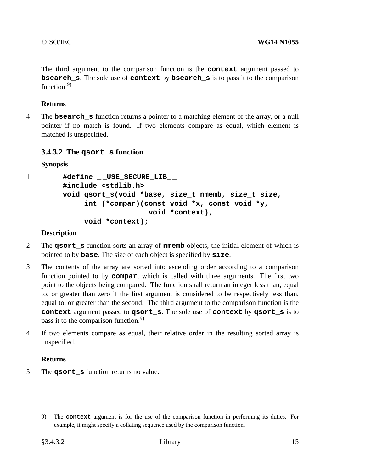The third argument to the comparison function is the **context** argument passed to **bsearch** s. The sole use of **context** by **bsearch** s is to pass it to the comparison function  $9$ 

# **Returns**

4 The **bsearch\_s** function returns a pointer to a matching element of the array, or a null pointer if no match is found. If two elements compare as equal, which element is matched is unspecified.

# **3.4.3.2 The qsort\_s function**

## **Synopsis**

```
1 #define _ _USE_SECURE_LIB_ _
        #include <stdlib.h>
        void qsort_s(void *base, size_t nmemb, size_t size,
             int (*compar)(const void *x, const void *y,
                            void *context),
             void *context);
```
## **Description**

- 2 The **qsort\_s** function sorts an array of **nmemb** objects, the initial element of which is pointed to by **base**. The size of each object is specified by **size**.
- 3 The contents of the array are sorted into ascending order according to a comparison function pointed to by **compar**, which is called with three arguments. The first two point to the objects being compared. The function shall return an integer less than, equal to, or greater than zero if the first argument is considered to be respectively less than, equal to, or greater than the second. The third argument to the comparison function is the **context** argument passed to **qsort\_s**. The sole use of **context** by **qsort\_s** is to pass it to the comparison function.<sup>9)</sup>
- 4 If two elements compare as equal, their relative order in the resulting sorted array is unspecified.

# **Returns**

5 The **qsort\_s** function returns no value.

<sup>9)</sup> The **context** argument is for the use of the comparison function in performing its duties. For example, it might specify a collating sequence used by the comparison function.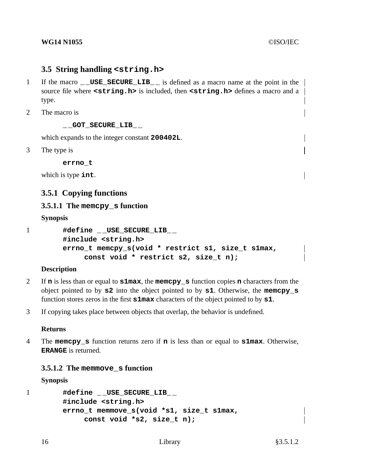# **3.5 String handling <string.h>**

- 1 If the macro **USE SECURE LIB** is defined as a macro name at the point in the source file where **<string.h>** is included, then **<string.h>** defines a macro and a type.
- 2 The macro is

**\_ \_GOT\_SECURE\_LIB\_ \_**

which expands to the integer constant **200402L**.

3 The type is

**errno\_t**

which is type **int**.

# **3.5.1 Copying functions**

#### **3.5.1.1 The memcpy\_s function**

#### **Synopsis**

1 **#define \_ \_USE\_SECURE\_LIB\_ \_ #include <string.h> errno\_t memcpy\_s(void \* restrict s1, size\_t s1max, const void \* restrict s2, size\_t n);**

#### **Description**

- 2 If **n** is less than or equal to **s1max**, the **memcpy\_s** function copies **n** characters from the object pointed to by **s2** into the object pointed to by **s1**. Otherwise, the **memcpy\_s** function stores zeros in the first **s1max** characters of the object pointed to by **s1**.
- 3 If copying takes place between objects that overlap, the behavior is undefined.

#### **Returns**

4 The **memcpy\_s** function returns zero if **n** is less than or equal to **s1max**. Otherwise, **ERANGE** is returned.

#### **3.5.1.2 The memmove\_s function**

#### **Synopsis**

1 **#define \_ \_USE\_SECURE\_LIB\_ \_ #include <string.h> errno\_t memmove\_s(void \*s1, size\_t s1max, const void \*s2, size\_t n);**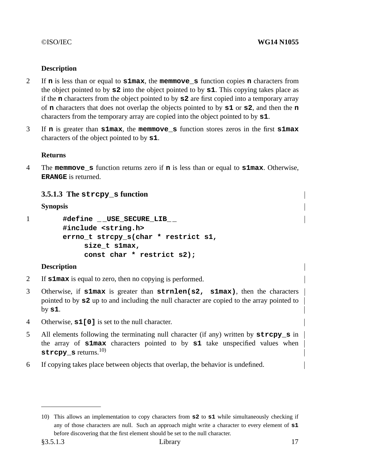# **Description**

- 2 If **n** is less than or equal to **s1max**, the **memmove\_s** function copies **n** characters from the object pointed to by **s2** into the object pointed to by **s1**. This copying takes place as if the **n** characters from the object pointed to by **s2** are first copied into a temporary array of **n** characters that does not overlap the objects pointed to by **s1** or **s2**, and then the **n** characters from the temporary array are copied into the object pointed to by **s1**.
- 3 If **n** is greater than **s1max**, the **memmove\_s** function stores zeros in the first **s1max** characters of the object pointed to by **s1**.

## **Returns**

4 The **memmove\_s** function returns zero if **n** is less than or equal to **s1max**. Otherwise, **ERANGE** is returned.

# **3.5.1.3 The strcpy\_s function**

# **Synopsis**

```
1 #define _ _USE_SECURE_LIB_ _
        #include <string.h>
        errno_t strcpy_s(char * restrict s1,
             size_t s1max,
             const char * restrict s2);
```
# **Description**

- 2 If **s1max** is equal to zero, then no copying is performed.
- 3 Otherwise, if **s1max** is greater than **strnlen(s2, s1max)**, then the characters pointed to by **s2** up to and including the null character are copied to the array pointed to by **s1**.
- 4 Otherwise, **s1[0]** is set to the null character.
- 5 All elements following the terminating null character (if any) written by **strcpy s** in the array of **s1max** characters pointed to by **s1** take unspecified values when **strcpy\_s** returns.10)
- 6 If copying takes place between objects that overlap, the behavior is undefined.

<sup>10)</sup> This allows an implementation to copy characters from **s2** to **s1** while simultaneously checking if any of those characters are null. Such an approach might write a character to every element of **s1** before discovering that the first element should be set to the null character.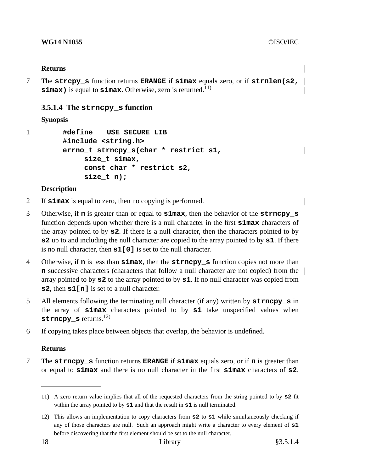#### **Returns**

7 The **strcpy\_s** function returns **ERANGE** if **s1max** equals zero, or if **strnlen(s2, s1max**) is equal to **s1max**. Otherwise, zero is returned.<sup>11)</sup>

# **3.5.1.4 The strncpy\_s function**

# **Synopsis**

```
1 #define _ _USE_SECURE_LIB_ _
        #include <string.h>
        errno_t strncpy_s(char * restrict s1,
             size_t s1max,
             const char * restrict s2,
             size_t n);
```
## **Description**

- 2 If **s1max** is equal to zero, then no copying is performed.
- 3 Otherwise, if **n** is greater than or equal to **s1max**, then the behavior of the **strncpy\_s** function depends upon whether there is a null character in the first **s1max** characters of the array pointed to by **s2**. If there is a null character, then the characters pointed to by **s2** up to and including the null character are copied to the array pointed to by **s1**. If there is no null character, then **s1[0]** is set to the null character.
- 4 Otherwise, if **n** is less than **s1max**, then the **strncpy\_s** function copies not more than **n** successive characters (characters that follow a null character are not copied) from the array pointed to by **s2** to the array pointed to by **s1**. If no null character was copied from **s2**, then **s1[n]** is set to a null character.
- 5 All elements following the terminating null character (if any) written by **strncpy\_s** in the array of **s1max** characters pointed to by **s1** take unspecified values when **strncpy s** returns.<sup>12)</sup>
- 6 If copying takes place between objects that overlap, the behavior is undefined.

# **Returns**

7 The **strncpy s** function returns **ERANGE** if **s1max** equals zero, or if **n** is greater than or equal to **s1max** and there is no null character in the first **s1max** characters of **s2**.

<sup>11)</sup> A zero return value implies that all of the requested characters from the string pointed to by **s2** fit within the array pointed to by **s1** and that the result in **s1** is null terminated.

<sup>12)</sup> This allows an implementation to copy characters from **s2** to **s1** while simultaneously checking if any of those characters are null. Such an approach might write a character to every element of **s1** before discovering that the first element should be set to the null character.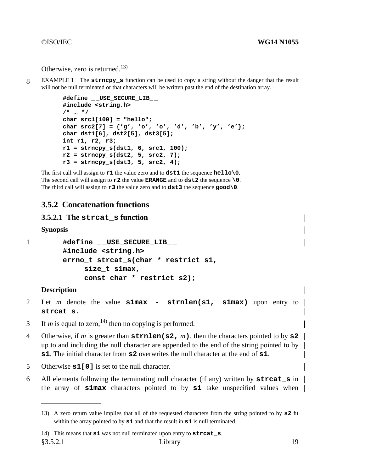Otherwise, zero is returned.<sup>13)</sup>

8 EXAMPLE 1 The **strncpy\_s** function can be used to copyastring without the danger that the result will not be null terminated or that characters will be written past the end of the destination array.

```
#define _ _USE_SECURE_LIB_ _
#include <string.h>
/* ... */
char src1[100] = "hello";
char src2[7] = {'g', 'o', 'o', 'd', 'b', 'y', 'e'};
char dst1[6], dst2[5], dst3[5];
int r1, r2, r3;
r1 = strncpy_s(dst1, 6, src1, 100);
r2 = strncpy_s(dst2, 5, src2, 7);
r3 = strncpy_s(dst3, 5, src2, 4);
```
The first call will assign to **r1** the value zero and to **dst1** the sequence **hello\0**. The second call will assign to **r2** the value **ERANGE** and to **dst2** the sequence **\0**. The third call will assign to **r3** the value zero and to **dst3** the sequence **good\0**.

# **3.5.2 Concatenation functions**

# **3.5.2.1 The strcat\_s function**

**Synopsis**

```
1 #define USE SECURE LIB
       #include <string.h>
       errno_t strcat_s(char * restrict s1,
            size_t s1max,
            const char * restrict s2);
```
#### **Description**

- 2 Let *m* denote the value **s1max strnlen(s1, s1max)** upon entry to **strcat\_s.**
- 3 If *m* is equal to zero,<sup>14)</sup> then no copying is performed.
- 4 Otherwise, if *m* is greater than **strnlen(s2,** *m***)**, then the characters pointed to by **s2** up to and including the null character are appended to the end of the string pointed to by **s1**. The initial character from **s2** overwrites the null character at the end of **s1**.
- 5 Otherwise **s1[0]** is set to the null character.
- 6 All elements following the terminating null character (if any) written by **strcat\_s** in the array of **s1max** characters pointed to by **s1** take unspecified values when

<sup>13)</sup> A zero return value implies that all of the requested characters from the string pointed to by **s2** fit within the array pointed to by **s1** and that the result in **s1** is null terminated.

<sup>14)</sup> This means that **s1** was not null terminated upon entry to **strcat\_s**.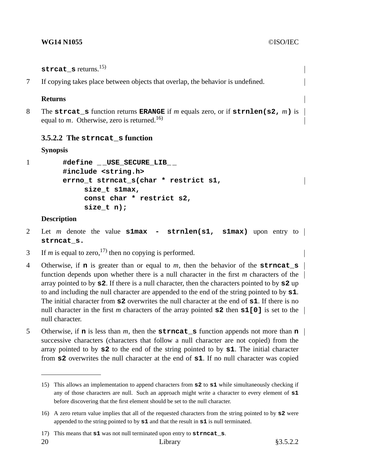strcat s returns.<sup>15)</sup>

7 If copying takes place between objects that overlap, the behavior is undefined.

#### **Returns**

8 The **strcat\_s** function returns **ERANGE** if *m* equals zero, or if **strnlen(s2,** *m***)** is equal to *m*. Otherwise, zero is returned.<sup>16)</sup>

#### **3.5.2.2 The strncat\_s function**

#### **Synopsis**

1 **#define \_ \_USE\_SECURE\_LIB\_ \_ #include <string.h> errno\_t strncat\_s(char \* restrict s1, size\_t s1max, const char \* restrict s2, size\_t n);**

#### **Description**

- 2 Let *m* denote the value **s1max strnlen(s1, s1max)** upon entry to **strncat\_s.**
- 3 If *m* is equal to zero,<sup>17)</sup> then no copying is performed.
- 4 Otherwise, if **n** is greater than or equal to *m*, then the behavior of the **strncat\_s** function depends upon whether there is a null character in the first *m* characters of the array pointed to by **s2**. If there is a null character, then the characters pointed to by **s2** up to and including the null character are appended to the end of the string pointed to by **s1**. The initial character from **s2** overwrites the null character at the end of **s1**. If there is no null character in the first *m* characters of the array pointed **s2** then **s1[0]** is set to the null character.
- 5 Otherwise, if **n** is less than *m*, then the **strncat\_s** function appends not more than **n** successive characters (characters that follow a null character are not copied) from the array pointed to by **s2** to the end of the string pointed to by **s1**. The initial character from **s2** overwrites the null character at the end of **s1**. If no null character was copied

<sup>15)</sup> This allows an implementation to append characters from **s2** to **s1** while simultaneously checking if any of those characters are null. Such an approach might write a character to every element of **s1** before discovering that the first element should be set to the null character.

<sup>16)</sup> A zero return value implies that all of the requested characters from the string pointed to by **s2** were appended to the string pointed to by **s1** and that the result in **s1** is null terminated.

<sup>17)</sup> This means that **s1** was not null terminated upon entry to **strncat\_s**.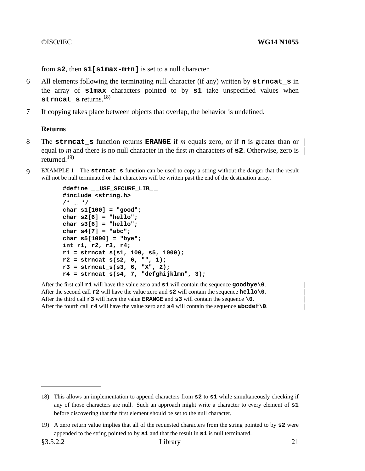from **s2**, then **s1[s1max-m+n]** is set to a null character.

- 6 All elements following the terminating null character (if any) written by **strncat\_s** in the array of **s1max** characters pointed to by **s1** take unspecified values when **strncat s** returns.<sup>18)</sup>
- 7 If copying takes place between objects that overlap, the behavior is undefined.

## **Returns**

- 8 The **strncat\_s** function returns **ERANGE** if *m* equals zero, or if **n** is greater than or equal to *m* and there is no null character in the first *m* characters of  $\boldsymbol{\in} 2$ . Otherwise, zero is | returned.19)
- 9 EXAMPLE 1 The **strncat\_s** function can be used to copyastring without the danger that the result will not be null terminated or that characters will be written past the end of the destination array.

```
#define _ _USE_SECURE_LIB_ _
#include <string.h>
/* ... */
char s1[100] = "good";
char s2[6] = "hello";
char s3[6] = "hello";
char s4[7] = "abc";
char s5[1000] = "bye";
int r1, r2, r3, r4;
r1 = strncat_s(s1, 100, s5, 1000);
r2 = strncat_s(s2, 6, "", 1);
r3 = strncat_s(s3, 6, "X", 2);
r4 = strncat_s(s4, 7, "defghijklmn", 3);
```
After the first call **r1** will have the value zero and **s1** will contain the sequence **goodbye\0**. After the second call **r2** will have the value zero and **s2** will contain the sequence **hello\0**. After the third call **r3** will have the value **ERANGE** and **s3** will contain the sequence **\0**. After the fourth call **r4** will have the value zero and **s4** will contain the sequence **abcdef\0**.

<sup>18)</sup> This allows an implementation to append characters from **s2** to **s1** while simultaneously checking if any of those characters are null. Such an approach might write a character to every element of **s1** before discovering that the first element should be set to the null character.

<sup>19)</sup> A zero return value implies that all of the requested characters from the string pointed to by **s2** were appended to the string pointed to by **s1** and that the result in **s1** is null terminated.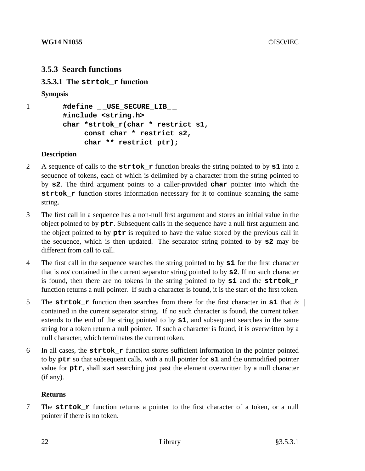# **3.5.3 Search functions**

**3.5.3.1 The strtok\_r function**

## **Synopsis**

```
1 #define _ _USE_SECURE_LIB_ _
        #include <string.h>
        char *strtok_r(char * restrict s1,
             const char * restrict s2,
             char ** restrict ptr);
```
# **Description**

- 2 A sequence of calls to the **strtok\_r** function breaks the string pointed to by **s1** into a sequence of tokens, each of which is delimited by a character from the string pointed to by **s2**. The third argument points to a caller-provided **char** pointer into which the **strtok\_r** function stores information necessary for it to continue scanning the same string.
- 3 The first call in a sequence has a non-null first argument and stores an initial value in the object pointed to by **ptr**. Subsequent calls in the sequence have a null first argument and the object pointed to by **ptr** is required to have the value stored by the previous call in the sequence, which is then updated. The separator string pointed to by **s2** may be different from call to call.
- 4 The first call in the sequence searches the string pointed to by **s1** for the first character that is *not* contained in the current separator string pointed to by **s2**. If no such character is found, then there are no tokens in the string pointed to by **s1** and the **strtok\_r** function returns a null pointer. If such a character is found, it is the start of the first token.
- 5 The **strtok\_r** function then searches from there for the first character in **s1** that *is* contained in the current separator string. If no such character is found, the current token extends to the end of the string pointed to by **s1**, and subsequent searches in the same string for a token return a null pointer. If such a character is found, it is overwritten by a null character, which terminates the current token.
- 6 In all cases, the **strtok\_r** function stores sufficient information in the pointer pointed to by **ptr** so that subsequent calls, with a null pointer for **s1** and the unmodified pointer value for **ptr**, shall start searching just past the element overwritten by a null character (if any).

#### **Returns**

7 The **strtok\_r** function returns a pointer to the first character of a token, or a null pointer if there is no token.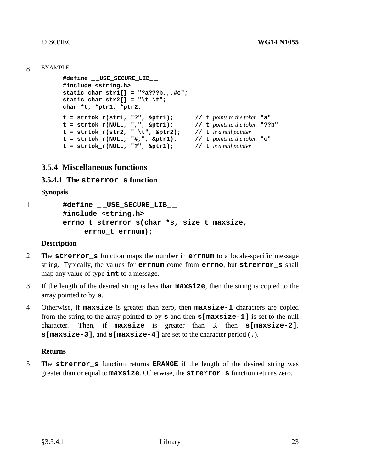#### 8 EXAMPLE

```
#define _ _USE_SECURE_LIB_ _
#include <string.h>
static char str1[] = "?a???b,,,#c";
static char str2[] = "\t \t";
char *t, *ptr1, *ptr2;
t=strtok_r(str1, "?", &ptr1); // t points to the token "a"
t = strtok_r(NULL, ",", \&ptr1); // t points to the token "??b"
t=strtok_r(str2, " \t", &ptr2); // t is a null pointer
t=strtok_r(NULL, "#,", &ptr1); // t points to the token "c"
t=strtok_r(NULL, "?", &ptr1); // t is a null pointer
```
# **3.5.4 Miscellaneous functions**

#### **3.5.4.1 The strerror\_s function**

**Synopsis**

```
1 #define _ _USE_SECURE_LIB_ _
        #include <string.h>
        errno_t strerror_s(char *s, size_t maxsize,
             errno_t errnum);
```
#### **Description**

- 2 The **strerror\_s** function maps the number in **errnum** to a locale-specific message string. Typically, the values for **errnum** come from **errno**, but **strerror\_s** shall map any value of type **int** to a message.
- 3 If the length of the desired string is less than **maxsize**, then the string is copied to the array pointed to by **s**.
- 4 Otherwise, if **maxsize** is greater than zero, then **maxsize-1** characters are copied from the string to the array pointed to by **s** and then **s[maxsize-1]** is set to the null character. Then, if **maxsize** is greater than 3, then **s[maxsize-2]**, **s[maxsize-3]**, and **s[maxsize-4]** are set to the character period (**.**).

#### **Returns**

5 The **strerror\_s** function returns **ERANGE** if the length of the desired string was greater than or equal to **maxsize**. Otherwise, the **strerror\_s** function returns zero.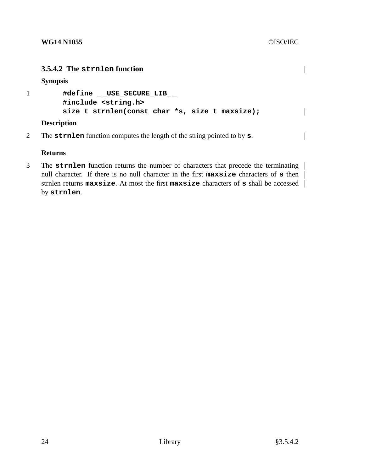# **3.5.4.2 The strnlen function**

**Synopsis**

```
1 #define _ _USE_SECURE_LIB_ _
        #include <string.h>
        size_t strnlen(const char *s, size_t maxsize);
```
# **Description**

2 The **strnlen** function computes the length of the string pointed to by **s**.

# **Returns**

3 The **strnlen** function returns the number of characters that precede the terminating null character. If there is no null character in the first **maxsize** characters of **s** then strnlen returns **maxsize**. At most the first **maxsize** characters of **s** shall be accessed by **strnlen**.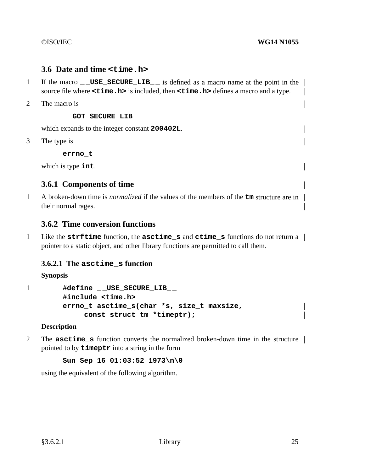# **3.6 Date and time <time.h>**

- 1 If the macro **\_ \_USE\_SECURE\_LIB\_ \_** is defined as a macro name at the point in the source file where **<time.h>** is included, then **<time.h>** defines a macro and a type.
- 2 The macro is

**\_ \_GOT\_SECURE\_LIB\_ \_**

which expands to the integer constant **200402L**.

3 The type is

```
errno_t
```
which is type **int**.

# **3.6.1 Components of time**

1 A broken-down time is *normalized* if the values of the members of the **tm** structure are in their normal rages.

# **3.6.2 Time conversion functions**

1 Like the **strftime** function, the **asctime\_s** and **ctime\_s** functions do not return a pointer to a static object, and other library functions are permitted to call them.

# **3.6.2.1 The asctime\_s function**

**Synopsis**

1 **#define** USE SECURE LIB **#include <time.h> errno\_t asctime\_s(char \*s, size\_t maxsize, const struct tm \*timeptr);**

#### **Description**

2 The **asctime\_s** function converts the normalized broken-down time in the structure pointed to by **timeptr** into a string in the form

**Sun Sep 16 01:03:52 1973\n\0**

using the equivalent of the following algorithm.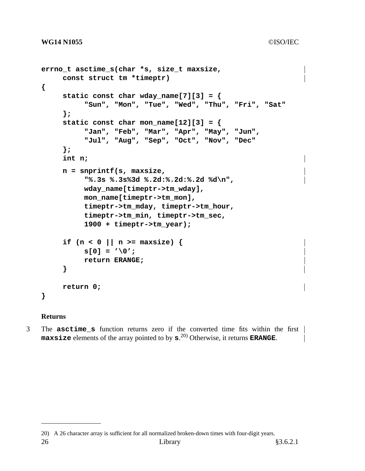```
errno_t asctime_s(char *s, size_t maxsize,
     const struct tm *timeptr)
{
     static const char wday_name[7][3] = {
          "Sun", "Mon", "Tue", "Wed", "Thu", "Fri", "Sat"
     };
     static const char mon_name[12][3] = {
          "Jan", "Feb", "Mar", "Apr", "May", "Jun",
          "Jul", "Aug", "Sep", "Oct", "Nov", "Dec"
     };
     int n;
     n=snprintf(s, maxsize,
          "%.3s %.3s%3d %.2d:%.2d:%.2d %d\n",
          wday_name[timeptr->tm_wday],
          mon_name[timeptr->tm_mon],
          timeptr->tm_mday, timeptr->tm_hour,
          timeptr->tm_min, timeptr->tm_sec,
          1900 + timeptr->tm_year);
     if (n < 0 || n >= maxsize) {
          s[0] = '\0';
          return ERANGE;
     }
     return 0;
}
```
#### **Returns**

3 The **asctime\_s** function returns zero if the converted time fits within the first **maxsize** elements of the array pointed to by **s**. 20) Otherwise, it returns **ERANGE**.

<sup>20)</sup> A 26 character array is sufficient for all normalized broken-down times with four-digit years.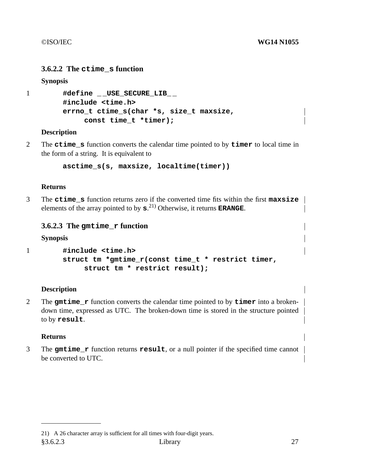# **3.6.2.2 The ctime\_s function**

**Synopsis**

```
1 #define _ _USE_SECURE_LIB_ _
        #include <time.h>
        errno_t ctime_s(char *s, size_t maxsize,
             const time_t *timer);
```
## **Description**

2 The **ctime\_s** function converts the calendar time pointed to by **timer** to local time in the form of a string. It is equivalent to

```
asctime_s(s, maxsize, localtime(timer))
```
#### **Returns**

3 The **ctime\_s** function returns zero if the converted time fits within the first **maxsize** elements of the array pointed to by **s**. 21) Otherwise, it returns **ERANGE**.

# **3.6.2.3 The gmtime\_r function**

**Synopsis**

```
1 #include <time.h>
        struct tm *gmtime_r(const time_t * restrict timer,
            struct tm * restrict result);
```
#### **Description**

2 The **gmtime\_r** function converts the calendar time pointed to by **timer** into a brokendown time, expressed as UTC. The broken-down time is stored in the structure pointed to by **result**.

#### **Returns**

3 The **gmtime\_r** function returns **result**, oranull pointer if the specified time cannot be converted to UTC.

<sup>21)</sup> A 26 character array is sufficient for all times with four-digit years. §3.6.2.3 Library 27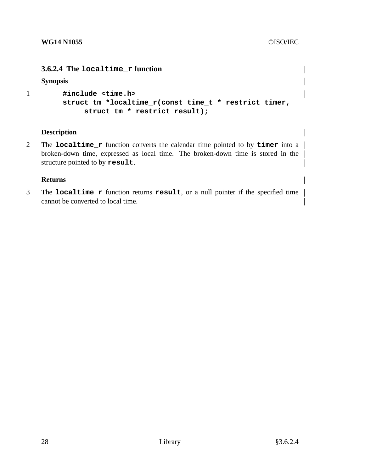# **3.6.2.4 The localtime\_r function**

**Synopsis**

```
1 #include <time.h>
        struct tm *localtime_r(const time_t * restrict timer,
            struct tm * restrict result);
```
## **Description**

2 The **localtime\_r** function converts the calendar time pointed to by **timer** into a broken-down time, expressed as local time. The broken-down time is stored in the structure pointed to by **result**.

## **Returns**

3 The **localtime\_r** function returns **result**, oranull pointer if the specified time cannot be converted to local time.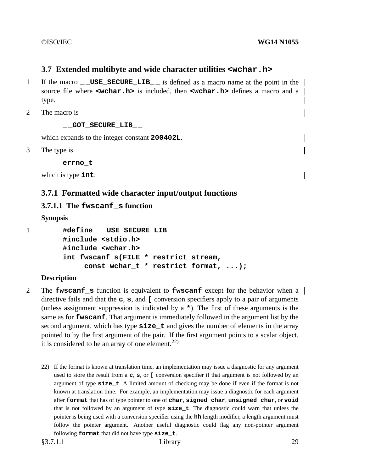# **3.7 Extended multibyte and wide character utilities <wchar.h>**

- 1 If the macro **USE SECURE LIB** is defined as a macro name at the point in the source file where **<wchar.h>** is included, then **<wchar.h>** defines a macro and a type.
- 2 The macro is

**\_ \_GOT\_SECURE\_LIB\_ \_**

which expands to the integer constant **200402L**.

3 The type is

**errno\_t**

which is type **int**.

# **3.7.1 Formatted wide character input/output functions**

## **3.7.1.1 The fwscanf\_s function**

```
Synopsis
```
1 **#define \_ \_USE\_SECURE\_LIB\_ \_ #include <stdio.h> #include <wchar.h> int fwscanf\_s(FILE \* restrict stream, const wchar\_t \* restrict format, ...);**

#### **Description**

2 The **fwscanf\_s** function is equivalent to **fwscanf** except for the behavior when a directive fails and that the **c**, **s**, and **[** conversion specifiers apply to a pair of arguments (unless assignment suppression is indicated by a **\***). The first of these arguments is the same as for **fwscanf**. That argument is immediately followed in the argument list by the second argument, which has type **size\_t** and gives the number of elements in the array pointed to by the first argument of the pair. If the first argument points to a scalar object, it is considered to be an array of one element.<sup>22)</sup>

<sup>22)</sup> If the format is known at translation time, an implementation may issue a diagnostic for any argument used to store the result from a **c**, **s**, or **[** conversion specifier if that argument is not followed by an argument of type **size\_t**.Alimited amount of checking may be done if even if the format is not known at translation time. For example, an implementation may issue a diagnostic for each argument after **format** that has of type pointer to one of **char**, **signed char**, **unsigned char**, or **void** that is not followed by an argument of type **size\_t**. The diagnostic could warn that unless the pointer is being used with a conversion specifier using the **hh** length modifier, a length argument must follow the pointer argument. Another useful diagnostic could flag any non-pointer argument following **format** that did not have type **size\_t**.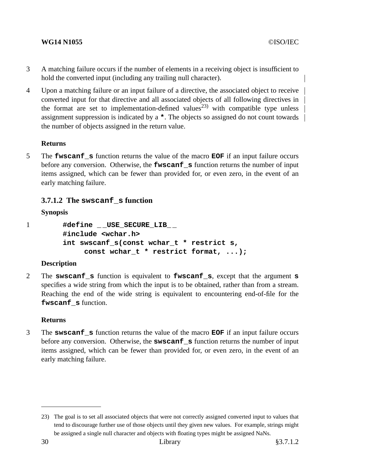# **WG14 N1055** ©ISO/IEC

- 3 A matching failure occurs if the number of elements in a receiving object is insufficient to hold the converted input (including any trailing null character).
- 4 Upon a matching failure or an input failure of a directive, the associated object to receive converted input for that directive and all associated objects of all following directives in the format are set to implementation-defined values<sup>23)</sup> with compatible type unless assignment suppression is indicated by a **\***. The objects so assigned do not count towards the number of objects assigned in the return value.

## **Returns**

5 The **fwscanf\_s** function returns the value of the macro **EOF** if an input failure occurs before any conversion. Otherwise, the **fwscanf\_s** function returns the number of input items assigned, which can be fewer than provided for, or even zero, in the event of an early matching failure.

# **3.7.1.2 The swscanf\_s function**

## **Synopsis**

1 **#define \_ \_USE\_SECURE\_LIB\_ \_ #include <wchar.h> int swscanf\_s(const wchar\_t \* restrict s, const wchar\_t \* restrict format, ...);**

# **Description**

2 The **swscanf\_s** function is equivalent to **fwscanf\_s**, except that the argument **s** specifies a wide string from which the input is to be obtained, rather than from a stream. Reaching the end of the wide string is equivalent to encountering end-of-file for the **fwscanf\_s** function.

#### **Returns**

3 The **swscanf\_s** function returns the value of the macro **EOF** if an input failure occurs before any conversion. Otherwise, the **swscanf\_s** function returns the number of input items assigned, which can be fewer than provided for, or even zero, in the event of an early matching failure.

<sup>23)</sup> The goal is to set all associated objects that were not correctly assigned converted input to values that tend to discourage further use of those objects until they given new values. For example, strings might be assigned a single null character and objects with floating types might be assigned NaNs.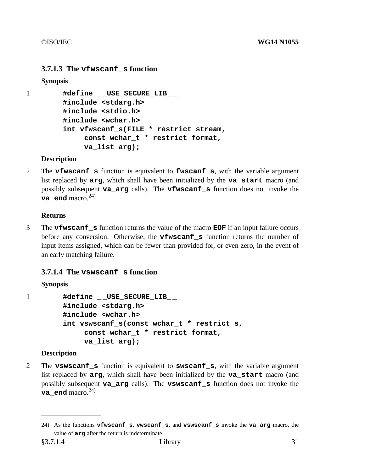# **3.7.1.3 The vfwscanf\_s function**

# **Synopsis**

```
1 #define _ _USE_SECURE_LIB_ _
        #include <stdarg.h>
        #include <stdio.h>
        #include <wchar.h>
        int vfwscanf_s(FILE * restrict stream,
             const wchar_t * restrict format,
             va_list arg);
```
# **Description**

2 The **vfwscanf\_s** function is equivalent to **fwscanf\_s**, with the variable argument list replaced by **arg**, which shall have been initialized by the **va\_start** macro (and possibly subsequent **va\_arg** calls). The **vfwscanf\_s** function does not invoke the **va\_end** macro. $^{24)}$ 

# **Returns**

3 The **vfwscanf\_s** function returns the value of the macro **EOF** if an input failure occurs before any conversion. Otherwise, the **vfwscanf s** function returns the number of input items assigned, which can be fewer than provided for, or even zero, in the event of an early matching failure.

# **3.7.1.4 The vswscanf\_s function**

# **Synopsis**

1 **#define \_ \_USE\_SECURE\_LIB\_ \_ #include <stdarg.h> #include <wchar.h> int vswscanf\_s(const wchar\_t \* restrict s, const wchar\_t \* restrict format, va\_list arg);**

# **Description**

2 The **vswscanf\_s** function is equivalent to **swscanf\_s**, with the variable argument list replaced by **arg**, which shall have been initialized by the **va\_start** macro (and possibly subsequent **va\_arg** calls). The **vswscanf\_s** function does not invoke the **va** end macro.<sup>24)</sup>

<sup>24)</sup> As the functions **vfwscanf\_s**, **vwscanf\_s**, and **vswscanf\_s** invoke the **va\_arg** macro, the value of **arg** after the return is indeterminate.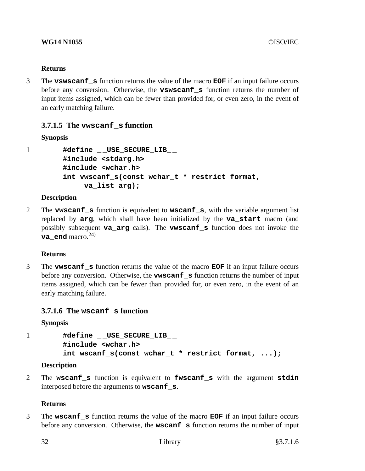## **Returns**

3 The **vswscanf\_s** function returns the value of the macro **EOF** if an input failure occurs before any conversion. Otherwise, the **vswscanf\_s** function returns the number of input items assigned, which can be fewer than provided for, or even zero, in the event of an early matching failure.

# **3.7.1.5 The vwscanf\_s function**

# **Synopsis**

1 **#define \_ \_USE\_SECURE\_LIB\_ \_ #include <stdarg.h> #include <wchar.h> int vwscanf\_s(const wchar\_t \* restrict format, va\_list arg);**

# **Description**

2 The **vwscanf\_s** function is equivalent to **wscanf\_s**, with the variable argument list replaced by **arg**, which shall have been initialized by the **va\_start** macro (and possibly subsequent **va\_arg** calls). The **vwscanf\_s** function does not invoke the **va** end macro.<sup>24)</sup>

# **Returns**

3 The **vwscanf\_s** function returns the value of the macro **EOF** if an input failure occurs before any conversion. Otherwise, the **vwscanf\_s** function returns the number of input items assigned, which can be fewer than provided for, or even zero, in the event of an early matching failure.

# **3.7.1.6 The wscanf\_s function**

# **Synopsis**

1 **#define \_ \_USE\_SECURE\_LIB\_ \_ #include <wchar.h> int wscanf\_s(const wchar\_t \* restrict format, ...);**

# **Description**

2 The **wscanf\_s** function is equivalent to **fwscanf\_s** with the argument **stdin** interposed before the arguments to **wscanf\_s**.

# **Returns**

3 The **wscanf\_s** function returns the value of the macro **EOF** if an input failure occurs before any conversion. Otherwise, the **wscanf\_s** function returns the number of input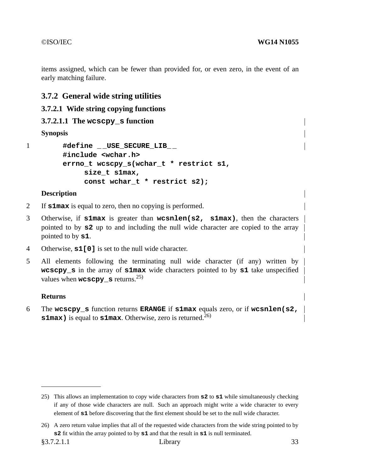items assigned, which can be fewer than provided for, or even zero, in the event of an early matching failure.

# **3.7.2 General wide string utilities**

# **3.7.2.1 Wide string copying functions**

# **3.7.2.1.1 The wcscpy\_s function**

**Synopsis**

1 **#define \_ \_USE\_SECURE\_LIB\_ \_ #include <wchar.h> errno\_t wcscpy\_s(wchar\_t \* restrict s1, size\_t s1max, const wchar\_t \* restrict s2);**

# **Description**

- 2 If **s1max** is equal to zero, then no copying is performed.
- 3 Otherwise, if **s1max** is greater than **wcsnlen(s2, s1max)**, then the characters pointed to by **s2** up to and including the null wide character are copied to the array pointed to by **s1**.
- 4 Otherwise, **s1[0]** is set to the null wide character.
- 5 All elements following the terminating null wide character (if any) written by **wcscpy\_s** in the array of **s1max** wide characters pointed to by **s1** take unspecified values when **wcscpy** s returns.<sup>25)</sup>

# **Returns**

6 The **wcscpy\_s** function returns **ERANGE** if **s1max** equals zero, or if **wcsnlen(s2, s1max**) is equal to **s1max**. Otherwise, zero is returned.<sup>26)</sup>

<sup>25)</sup> This allows an implementation to copy wide characters from **s2** to **s1** while simultaneously checking if any of those wide characters are null. Such an approach might write a wide character to every element of **s1** before discovering that the first element should be set to the null wide character.

<sup>26)</sup> A zero return value implies that all of the requested wide characters from the wide string pointed to by **s2** fit within the array pointed to by **s1** and that the result in **s1** is null terminated.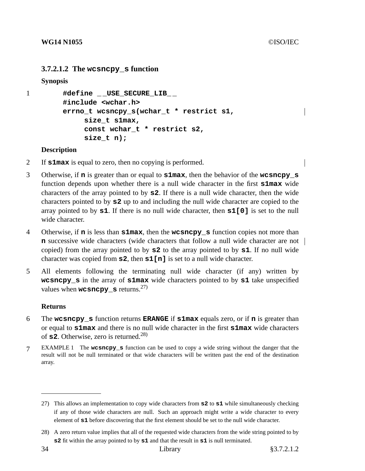## **3.7.2.1.2 The wcsncpy\_s function**

**Synopsis**

```
1 #define _ _USE_SECURE_LIB_ _
        #include <wchar.h>
        errno_t wcsncpy_s(wchar_t * restrict s1,
             size_t s1max,
             const wchar_t * restrict s2,
             size_t n);
```
#### **Description**

- 2 If **s1max** is equal to zero, then no copying is performed.
- 3 Otherwise, if **n** is greater than or equal to **s1max**, then the behavior of the **wcsncpy\_s** function depends upon whether there is a null wide character in the first **s1max** wide characters of the array pointed to by **s2**. If there is a null wide character, then the wide characters pointed to by **s2** up to and including the null wide character are copied to the array pointed to by **s1**. If there is no null wide character, then **s1[0]** is set to the null wide character.
- 4 Otherwise, if **n** is less than **s1max**, then the **wcsncpy\_s** function copies not more than **n** successive wide characters (wide characters that follow a null wide character are not | copied) from the array pointed to by **s2** to the array pointed to by **s1**. If no null wide character was copied from **s2**, then **s1[n]** is set to a null wide character.
- 5 All elements following the terminating null wide character (if any) written by **wcsncpy\_s** in the array of **s1max** wide characters pointed to by **s1** take unspecified values when **wcsncpy** s returns.<sup>27)</sup>

#### **Returns**

- 6 The **wcsncpy\_s** function returns **ERANGE** if **s1max** equals zero, or if **n** is greater than or equal to **s1max** and there is no null wide character in the first **s1max** wide characters of **s2**. Otherwise, zero is returned.<sup>28)</sup>
- 7 EXAMPLE 1 The **wcsncpy\_s** function can be used to copyawide string without the danger that the result will not be null terminated or that wide characters will be written past the end of the destination array.

<sup>27)</sup> This allows an implementation to copy wide characters from **s2** to **s1** while simultaneously checking if any of those wide characters are null. Such an approach might write a wide character to every element of **s1** before discovering that the first element should be set to the null wide character.

<sup>28)</sup> A zero return value implies that all of the requested wide characters from the wide string pointed to by **s2** fit within the array pointed to by **s1** and that the result in **s1** is null terminated.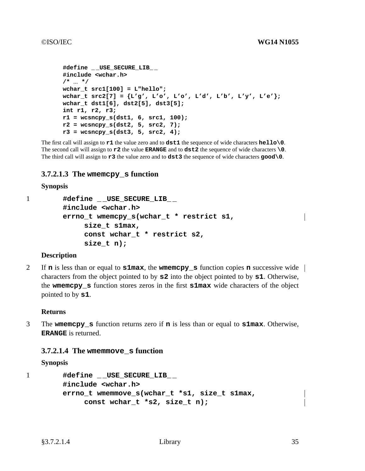```
#define _ _USE_SECURE_LIB_ _
#include <wchar.h>
/* ... */
wchar_t src1[100] = L"hello";
wchar_t src2[7] = {L'g', L'o', L'o', L'd', L'b', L'y', L'e'};
wchar_t dst1[6], dst2[5], dst3[5];
int r1, r2, r3;
r1 = wcsncpy_s(dst1, 6, src1, 100);
r2 = wcsncpy_s(dst2, 5, src2, 7);
r3 = wcsncpy_s(dst3, 5, src2, 4);
```
The first call will assign to **r1** the value zero and to **dst1** the sequence of wide characters **hello\0**. The second call will assign to **r2** the value **ERANGE** and to **dst2** the sequence of wide characters **\0**. The third call will assign to **r3** the value zero and to **dst3** the sequence of wide characters **good\0**.

# **3.7.2.1.3 The wmemcpy\_s function**

#### **Synopsis**

```
1 #define _ _USE_SECURE_LIB_ _
        #include <wchar.h>
        errno_t wmemcpy_s(wchar_t * restrict s1,
             size_t s1max,
             const wchar_t * restrict s2,
             size_t n);
```
#### **Description**

2 If **n** is less than or equal to **s1max**, the **wmemcpy\_s** function copies **n** successive wide characters from the object pointed to by **s2** into the object pointed to by **s1**. Otherwise, the **wmemcpy\_s** function stores zeros in the first **s1max** wide characters of the object pointed to by **s1**.

#### **Returns**

3 The **wmemcpy\_s** function returns zero if **n** is less than or equal to **s1max**. Otherwise, **ERANGE** is returned.

# **3.7.2.1.4 The wmemmove\_s function**

**Synopsis**

```
1 #define _ _USE_SECURE_LIB_ _
        #include <wchar.h>
        errno_t wmemmove_s(wchar_t *s1, size_t s1max,
             const wchar_t *s2, size_t n);
```
 $\mathbf{I}$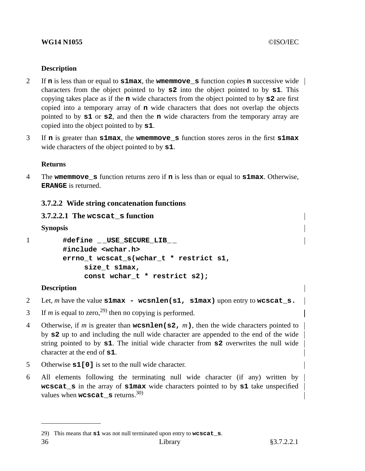## **WG14 N1055** ©ISO/IEC

## **Description**

- 2 If **n** is less than or equal to **s1max**, the **wmemmove\_s** function copies **n** successive wide characters from the object pointed to by **s2** into the object pointed to by **s1**. This copying takes place as if the **n** wide characters from the object pointed to by **s2** are first copied into a temporary array of **n** wide characters that does not overlap the objects pointed to by **s1** or **s2**, and then the **n** wide characters from the temporary array are copied into the object pointed to by **s1**.
- 3 If **n** is greater than **s1max**, the **wmemmove\_s** function stores zeros in the first **s1max** wide characters of the object pointed to by **s1**.

#### **Returns**

4 The **wmemmove\_s** function returns zero if **n** is less than or equal to **s1max**. Otherwise, **ERANGE** is returned.

# **3.7.2.2 Wide string concatenation functions**

## **3.7.2.2.1 The wcscat\_s function**

**Synopsis**

```
1 #define _ _USE_SECURE_LIB_ _
        #include <wchar.h>
        errno_t wcscat_s(wchar_t * restrict s1,
             size_t s1max,
             const wchar_t * restrict s2);
```
#### **Description**

- 2 Let, *m* have the value **s1max wcsnlen(s1, s1max)** upon entry to **wcscat\_s.**
- 3 If *m* is equal to zero,<sup>29)</sup> then no copying is performed.
- 4 Otherwise, if *m* is greater than **wcsnlen(s2,** *m***)**, then the wide characters pointed to by **s2** up to and including the null wide character are appended to the end of the wide string pointed to by **s1**. The initial wide character from **s2** overwrites the null wide character at the end of **s1**.
- 5 Otherwise **s1[0]** is set to the null wide character.
- 6 All elements following the terminating null wide character (if any) written by **wcscat s** in the array of **s1max** wide characters pointed to by **s1** take unspecified values when **wcscat**  $\boldsymbol{s}$  returns.<sup>30)</sup>

<sup>29)</sup> This means that **s1** was not null terminated upon entry to **wcscat\_s**.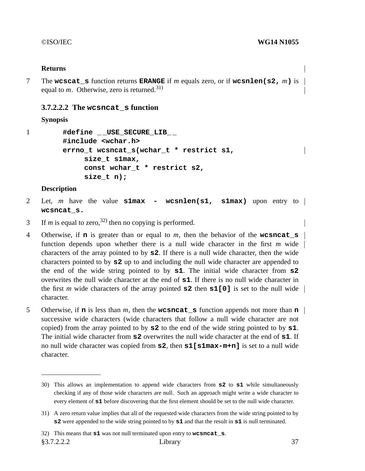#### **Returns**

7 The **wcscat\_s** function returns **ERANGE** if *m* equals zero, or if **wcsnlen(s2,** *m***)** is equal to  $m$ . Otherwise, zero is returned.<sup>31)</sup>

#### **3.7.2.2.2 The wcsncat\_s function**

#### **Synopsis**

```
1 #define _ _USE_SECURE_LIB_ _
        #include <wchar.h>
        errno_t wcsncat_s(wchar_t * restrict s1,
             size_t s1max,
             const wchar_t * restrict s2,
             size_t n);
```
#### **Description**

- 2 Let, *m* have the value **s1max wcsnlen(s1, s1max)** upon entry to **wcsncat\_s.**
- 3 If *m* is equal to zero,<sup>32)</sup> then no copying is performed.
- 4 Otherwise, if **n** is greater than or equal to *m*, then the behavior of the **wcsncat\_s** function depends upon whether there is a null wide character in the first *m* wide characters of the array pointed to by **s2**. If there is a null wide character, then the wide characters pointed to by **s2** up to and including the null wide character are appended to the end of the wide string pointed to by **s1**. The initial wide character from **s2** overwrites the null wide character at the end of **s1**. If there is no null wide character in the first *m* wide characters of the array pointed **s2** then **s1[0]** is set to the null wide character.
- 5 Otherwise, if **n** is less than *m*, then the **wcsncat\_s** function appends not more than **n** successive wide characters (wide characters that follow a null wide character are not copied) from the array pointed to by **s2** to the end of the wide string pointed to by **s1**. The initial wide character from **s2** overwrites the null wide character at the end of **s1**. If no null wide character was copied from **s2**, then **s1[s1max-m+n]** is set to a null wide character.

§3.7.2.2.2 Library 37

<sup>30)</sup> This allows an implementation to append wide characters from **s2** to **s1** while simultaneously checking if any of those wide characters are null. Such an approach might write a wide character to every element of  $s1$  before discovering that the first element should be set to the null wide character.

<sup>31)</sup> A zero return value implies that all of the requested wide characters from the wide string pointed to by **s2** were appended to the wide string pointed to by **s1** and that the result in **s1** is null terminated.

<sup>32)</sup> This means that **s1** was not null terminated upon entry to **wcsncat\_s**.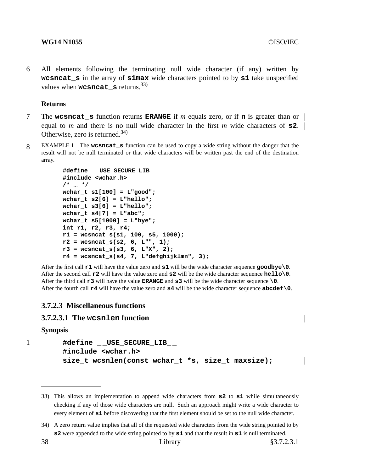#### **WG14 N1055** ©ISO/IEC

6 All elements following the terminating null wide character (if any) written by **wcsncat\_s** in the array of **s1max** wide characters pointed to by **s1** take unspecified values when **wcsncat**  $\boldsymbol{s}$  returns.<sup>33)</sup>

#### **Returns**

- 7 The **wcsncat\_s** function returns **ERANGE** if *m* equals zero, or if **n** is greater than or equal to *m* and there is no null wide character in the first *m* wide characters of  $\boldsymbol{s}2$ . Otherwise, zero is returned.<sup>34)</sup>
- 8 EXAMPLE 1 The **wcsncat\_s** function can be used to copyawide string without the danger that the result will not be null terminated or that wide characters will be written past the end of the destination array.

```
#define _ _USE_SECURE_LIB_ _
#include <wchar.h>
/* ... */
wchar_t s1[100] = L"good";
wchar_t s2[6] = L"hello";
wchar_t s3[6] = L"hello";
wchar_t s4[7] = L"abc";
wchar_t s5[1000] = L"bye";
int r1, r2, r3, r4;
r1 = wcsncat_s(s1, 100, s5, 1000);
r2 = wcsncat_s(s2, 6, L"", 1);
r3 = wcsncat_s(s3, 6, L"X", 2);
r4 = wcsncat_s(s4, 7, L"defghijklmn", 3);
```
After the first call **r1** will have the value zero and **s1** will be the wide character sequence **goodbye\0**. After the second call **r2** will have the value zero and **s2** will be the wide character sequence **hello\0**. After the third call **r3** will have the value **ERANGE** and **s3** will be the wide character sequence **\0**. After the fourth call **r4** will have the value zero and **s4** will be the wide character sequence **abcdef\0**.

#### **3.7.2.3 Miscellaneous functions**

# **3.7.2.3.1 The wcsnlen function**

#### **Synopsis**

1 **#define \_ \_USE\_SECURE\_LIB\_ \_ #include <wchar.h>** size t wcsnlen(const wchar t \*s, size t maxsize);

<sup>33)</sup> This allows an implementation to append wide characters from **s2** to **s1** while simultaneously checking if any of those wide characters are null. Such an approach might write a wide character to every element of **s1** before discovering that the first element should be set to the null wide character.

<sup>34)</sup> A zero return value implies that all of the requested wide characters from the wide string pointed to by **s2** were appended to the wide string pointed to by **s1** and that the result in **s1** is null terminated.